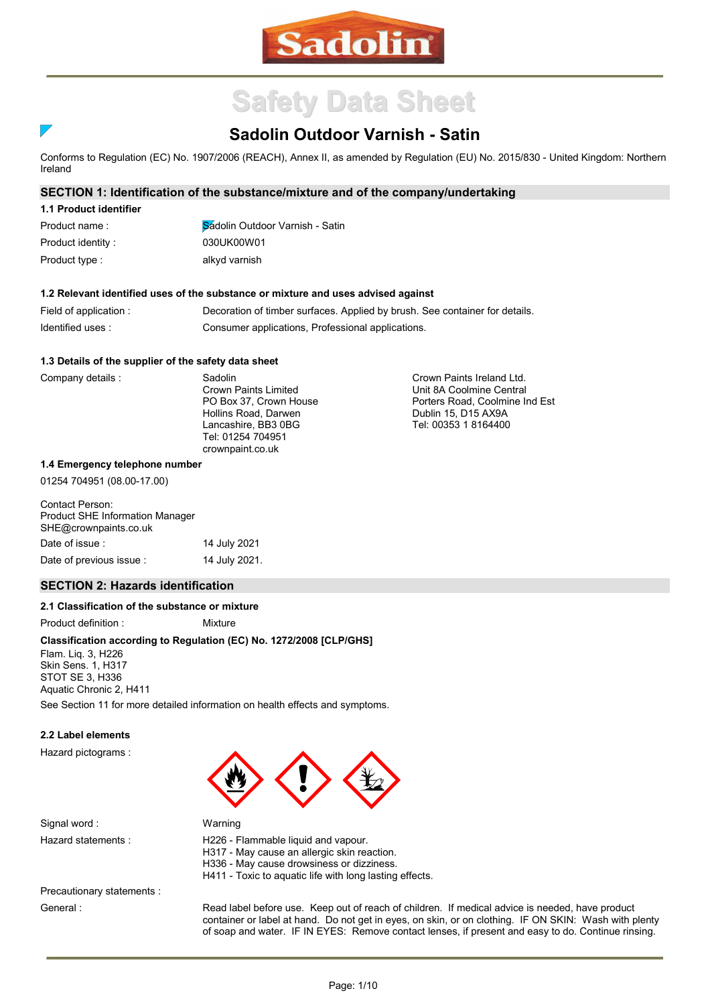

# **Safety Data Sheet**

# **Sadolin Outdoor Varnish - Satin**

Conforms to Regulation (EC) No. 1907/2006 (REACH), Annex II, as amended by Regulation (EU) No. 2015/830 - United Kingdom: Northern Ireland

# **SECTION 1: Identification of the substance/mixture and of the company/undertaking**

| 1.1 Product identifier |                                 |
|------------------------|---------------------------------|
| Product name:          | Sádolin Outdoor Varnish - Satin |
| Product identity:      | 030UK00W01                      |
| Product type :         | alkyd varnish                   |

#### **1.2 Relevant identified uses of the substance or mixture and uses advised against**

| Field of application : | Decoration of timber surfaces. Applied by brush. See container for details. |
|------------------------|-----------------------------------------------------------------------------|
| Identified uses:       | Consumer applications, Professional applications.                           |

#### **1.3 Details of the supplier of the safety data sheet**

Company details :

 $\overline{\phantom{a}}$ 

Sadolin Crown Paints Limited PO Box 37, Crown House Hollins Road, Darwen Lancashire, BB3 0BG Tel: 01254 704951 crownpaint.co.uk

#### **1.4 Emergency telephone number**

01254 704951 (08.00-17.00)

#### Contact Person: Product SHE Information Manager SHE@crownpaints.co.uk Date of issue : 14 July 2021

| Date of Issue :          | 14 JUIV 2021  |
|--------------------------|---------------|
| Date of previous issue : | 14 July 2021. |

# **SECTION 2: Hazards identification**

# **2.1 Classification of the substance or mixture**

Product definition : Mixture

#### **Classification according to Regulation (EC) No. 1272/2008 [CLP/GHS]**

Flam. Liq. 3, H226 Skin Sens. 1, H317 STOT SE 3, H336 Aquatic Chronic 2, H411 See Section 11 for more detailed information on health effects and symptoms.

#### **2.2 Label elements**

Hazard pictograms :

General :



| Signal word:               | Warning                                                                                                                                                                                    |
|----------------------------|--------------------------------------------------------------------------------------------------------------------------------------------------------------------------------------------|
| Hazard statements :        | H226 - Flammable liquid and vapour.<br>H317 - May cause an allergic skin reaction.<br>H336 - May cause drowsiness or dizziness.<br>H411 - Toxic to aquatic life with long lasting effects. |
| Precautionary statements : |                                                                                                                                                                                            |

Read label before use. Keep out of reach of children. If medical advice is needed, have product container or label at hand. Do not get in eyes, on skin, or on clothing. IF ON SKIN: Wash with plenty of soap and water. IF IN EYES: Remove contact lenses, if present and easy to do. Continue rinsing.

Crown Paints Ireland Ltd. Unit 8A Coolmine Central Porters Road, Coolmine Ind Est Dublin 15, D15 AX9A Tel: 00353 1 8164400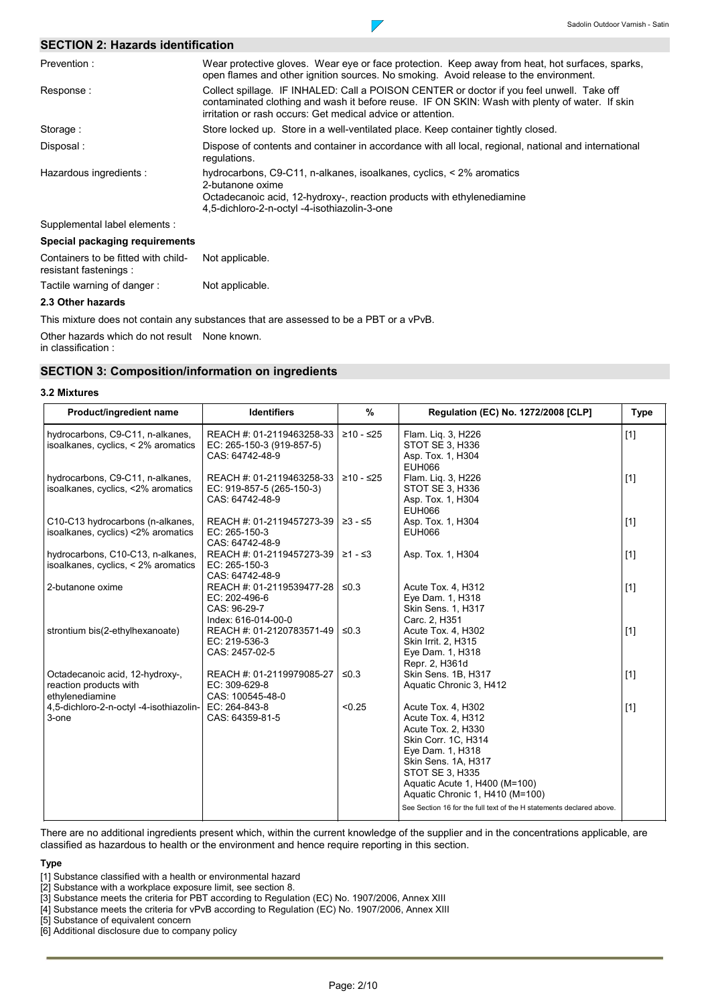# **SECTION 2: Hazards identification**

| Prevention:                                                   | Wear protective gloves. Wear eye or face protection. Keep away from heat, hot surfaces, sparks,<br>open flames and other ignition sources. No smoking. Avoid release to the environment.                                                                   |
|---------------------------------------------------------------|------------------------------------------------------------------------------------------------------------------------------------------------------------------------------------------------------------------------------------------------------------|
| Response:                                                     | Collect spillage. IF INHALED: Call a POISON CENTER or doctor if you feel unwell. Take off<br>contaminated clothing and wash it before reuse. IF ON SKIN: Wash with plenty of water. If skin<br>irritation or rash occurs: Get medical advice or attention. |
| Storage:                                                      | Store locked up. Store in a well-ventilated place. Keep container tightly closed.                                                                                                                                                                          |
| Disposal:                                                     | Dispose of contents and container in accordance with all local, regional, national and international<br>requlations.                                                                                                                                       |
| Hazardous ingredients :                                       | hydrocarbons, $C9-C11$ , n-alkanes, isoalkanes, cyclics, $\lt 2\%$ aromatics<br>2-butanone oxime<br>Octadecanoic acid, 12-hydroxy-, reaction products with ethylenediamine<br>4,5-dichloro-2-n-octyl -4-isothiazolin-3-one                                 |
| Supplemental label elements :                                 |                                                                                                                                                                                                                                                            |
| Special packaging requirements                                |                                                                                                                                                                                                                                                            |
| Containers to be fitted with child-<br>resistant fastenings : | Not applicable.                                                                                                                                                                                                                                            |

 $\overline{\phantom{a}}$ 

Tactile warning of danger :

#### **2.3 Other hazards**

This mixture does not contain any substances that are assessed to be a PBT or a vPvB.

Not applicable.

Other hazards which do not result None known.

in classification :

# **SECTION 3: Composition/information on ingredients**

#### **3.2 Mixtures**

| Product/ingredient name                                                      | <b>Identifiers</b>                                                                | $\frac{9}{6}$ | Regulation (EC) No. 1272/2008 [CLP]                                                                                                                                                                                                                                                             | <b>Type</b> |
|------------------------------------------------------------------------------|-----------------------------------------------------------------------------------|---------------|-------------------------------------------------------------------------------------------------------------------------------------------------------------------------------------------------------------------------------------------------------------------------------------------------|-------------|
| hydrocarbons, C9-C11, n-alkanes,<br>isoalkanes, cyclics, < 2% aromatics      | REACH #: 01-2119463258-33<br>EC: 265-150-3 (919-857-5)<br>CAS: 64742-48-9         | ≥10 - ≤25     | Flam. Lig. 3, H226<br>STOT SE 3, H336<br>Asp. Tox. 1, H304<br><b>EUH066</b>                                                                                                                                                                                                                     | $[1]$       |
| hydrocarbons, C9-C11, n-alkanes,<br>isoalkanes, cyclics, <2% aromatics       | REACH #: 01-2119463258-33<br>EC: 919-857-5 (265-150-3)<br>CAS: 64742-48-9         | ≥10 - ≤25     | Flam. Lig. 3, H226<br>STOT SE 3, H336<br>Asp. Tox. 1, H304<br>EUH066                                                                                                                                                                                                                            | $[1]$       |
| C10-C13 hydrocarbons (n-alkanes,<br>isoalkanes, cyclics) <2% aromatics       | REACH #: 01-2119457273-39   ≥3 - ≤5<br>EC: 265-150-3<br>CAS: 64742-48-9           |               | Asp. Tox. 1, H304<br><b>EUH066</b>                                                                                                                                                                                                                                                              | $[1]$       |
| hydrocarbons, C10-C13, n-alkanes,<br>isoalkanes, cyclics, < 2% aromatics     | REACH #: 01-2119457273-39   ≥1 - ≤3<br>EC: 265-150-3<br>CAS: 64742-48-9           |               | Asp. Tox. 1, H304                                                                                                                                                                                                                                                                               | $[1]$       |
| 2-butanone oxime                                                             | REACH #: 01-2119539477-28<br>EC: 202-496-6<br>CAS: 96-29-7<br>Index: 616-014-00-0 | $\leq 0.3$    | Acute Tox. 4. H312<br>Eye Dam. 1, H318<br><b>Skin Sens. 1, H317</b><br>Carc. 2, H351                                                                                                                                                                                                            | $[1]$       |
| strontium bis(2-ethylhexanoate)                                              | REACH #: 01-2120783571-49<br>EC: 219-536-3<br>CAS: 2457-02-5                      | $\leq 0.3$    | Acute Tox. 4, H302<br>Skin Irrit. 2, H315<br>Eye Dam. 1, H318<br>Repr. 2, H361d                                                                                                                                                                                                                 | $[1]$       |
| Octadecanoic acid, 12-hydroxy-,<br>reaction products with<br>ethylenediamine | REACH #: 01-2119979085-27<br>EC: 309-629-8<br>CAS: 100545-48-0                    | $\leq 0.3$    | Skin Sens, 1B, H317<br>Aquatic Chronic 3, H412                                                                                                                                                                                                                                                  | $[1]$       |
| 4,5-dichloro-2-n-octyl -4-isothiazolin-<br>3-one                             | EC: 264-843-8<br>CAS: 64359-81-5                                                  | < 0.25        | Acute Tox. 4, H302<br>Acute Tox. 4, H312<br>Acute Tox. 2, H330<br>Skin Corr. 1C, H314<br>Eye Dam. 1, H318<br>Skin Sens. 1A, H317<br>STOT SE 3, H335<br>Aquatic Acute 1, H400 (M=100)<br>Aquatic Chronic 1, H410 (M=100)<br>See Section 16 for the full text of the H statements declared above. | $[1]$       |

There are no additional ingredients present which, within the current knowledge of the supplier and in the concentrations applicable, are classified as hazardous to health or the environment and hence require reporting in this section.

#### **Type**

[1] Substance classified with a health or environmental hazard

[2] Substance with a workplace exposure limit, see section 8.

[3] Substance meets the criteria for PBT according to Regulation (EC) No. 1907/2006, Annex XIII

[4] Substance meets the criteria for vPvB according to Regulation (EC) No. 1907/2006, Annex XIII

[5] Substance of equivalent concern

[6] Additional disclosure due to company policy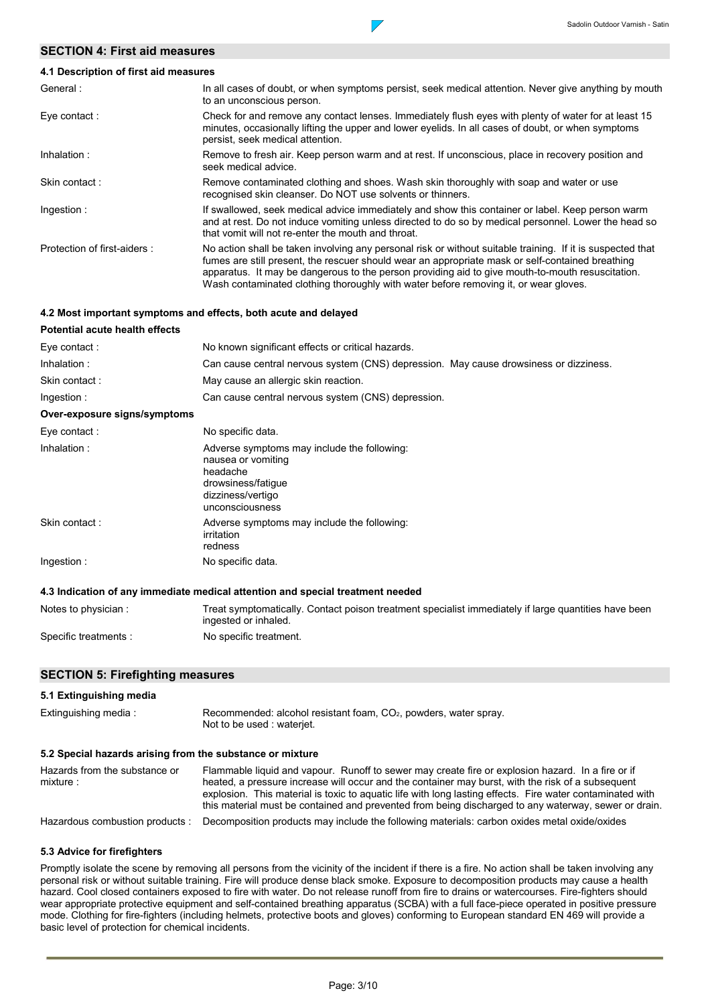# **SECTION 4: First aid measures**

# **4.1 Description of first aid measures**

| General:                    | In all cases of doubt, or when symptoms persist, seek medical attention. Never give anything by mouth<br>to an unconscious person.                                                                                                                                                                                                                                                                         |
|-----------------------------|------------------------------------------------------------------------------------------------------------------------------------------------------------------------------------------------------------------------------------------------------------------------------------------------------------------------------------------------------------------------------------------------------------|
| Eye contact:                | Check for and remove any contact lenses. Immediately flush eyes with plenty of water for at least 15<br>minutes, occasionally lifting the upper and lower eyelids. In all cases of doubt, or when symptoms<br>persist, seek medical attention.                                                                                                                                                             |
| Inhalation:                 | Remove to fresh air. Keep person warm and at rest. If unconscious, place in recovery position and<br>seek medical advice.                                                                                                                                                                                                                                                                                  |
| Skin contact:               | Remove contaminated clothing and shoes. Wash skin thoroughly with soap and water or use<br>recognised skin cleanser. Do NOT use solvents or thinners.                                                                                                                                                                                                                                                      |
| Ingestion:                  | If swallowed, seek medical advice immediately and show this container or label. Keep person warm<br>and at rest. Do not induce vomiting unless directed to do so by medical personnel. Lower the head so<br>that vomit will not re-enter the mouth and throat.                                                                                                                                             |
| Protection of first-aiders: | No action shall be taken involving any personal risk or without suitable training. If it is suspected that<br>fumes are still present, the rescuer should wear an appropriate mask or self-contained breathing<br>apparatus. It may be dangerous to the person providing aid to give mouth-to-mouth resuscitation.<br>Wash contaminated clothing thoroughly with water before removing it, or wear gloves. |
|                             |                                                                                                                                                                                                                                                                                                                                                                                                            |

 $\nabla$ 

#### **4.2 Most important symptoms and effects, both acute and delayed**

| Potential acute health effects |                                                                                                                                             |
|--------------------------------|---------------------------------------------------------------------------------------------------------------------------------------------|
| Eye contact:                   | No known significant effects or critical hazards.                                                                                           |
| Inhalation:                    | Can cause central nervous system (CNS) depression. May cause drowsiness or dizziness.                                                       |
| Skin contact:                  | May cause an allergic skin reaction.                                                                                                        |
| Ingestion:                     | Can cause central nervous system (CNS) depression.                                                                                          |
| Over-exposure signs/symptoms   |                                                                                                                                             |
| Eye contact:                   | No specific data.                                                                                                                           |
| Inhalation:                    | Adverse symptoms may include the following:<br>nausea or vomiting<br>headache<br>drowsiness/fatigue<br>dizziness/vertigo<br>unconsciousness |
| Skin contact:                  | Adverse symptoms may include the following:<br>irritation<br>redness                                                                        |
| Ingestion:                     | No specific data.                                                                                                                           |
|                                | 4.3 Indication of any immediate medical attention and special treatment needed                                                              |

| Notes to physician:   | Treat symptomatically. Contact poison treatment specialist immediately if large quantities have been<br>ingested or inhaled. |
|-----------------------|------------------------------------------------------------------------------------------------------------------------------|
| Specific treatments : | No specific treatment.                                                                                                       |

# **SECTION 5: Firefighting measures**

# **5.1 Extinguishing media**

| Extinguishing media: | Recommended: alcohol resistant foam, CO <sub>2</sub> , powders, water spray.<br>Not to be used : waterjet. |
|----------------------|------------------------------------------------------------------------------------------------------------|
|                      |                                                                                                            |

# **5.2 Special hazards arising from the substance or mixture**

| Hazards from the substance or<br>mixture: | Flammable liquid and vapour. Runoff to sewer may create fire or explosion hazard. In a fire or if<br>heated, a pressure increase will occur and the container may burst, with the risk of a subsequent<br>explosion. This material is toxic to aquatic life with long lasting effects. Fire water contaminated with<br>this material must be contained and prevented from being discharged to any waterway, sewer or drain. |
|-------------------------------------------|-----------------------------------------------------------------------------------------------------------------------------------------------------------------------------------------------------------------------------------------------------------------------------------------------------------------------------------------------------------------------------------------------------------------------------|
| Hazardous combustion products:            | Decomposition products may include the following materials: carbon oxides metal oxide/oxides                                                                                                                                                                                                                                                                                                                                |

# **5.3 Advice for firefighters**

Promptly isolate the scene by removing all persons from the vicinity of the incident if there is a fire. No action shall be taken involving any personal risk or without suitable training. Fire will produce dense black smoke. Exposure to decomposition products may cause a health hazard. Cool closed containers exposed to fire with water. Do not release runoff from fire to drains or watercourses. Fire-fighters should wear appropriate protective equipment and self-contained breathing apparatus (SCBA) with a full face-piece operated in positive pressure mode. Clothing for fire-fighters (including helmets, protective boots and gloves) conforming to European standard EN 469 will provide a basic level of protection for chemical incidents.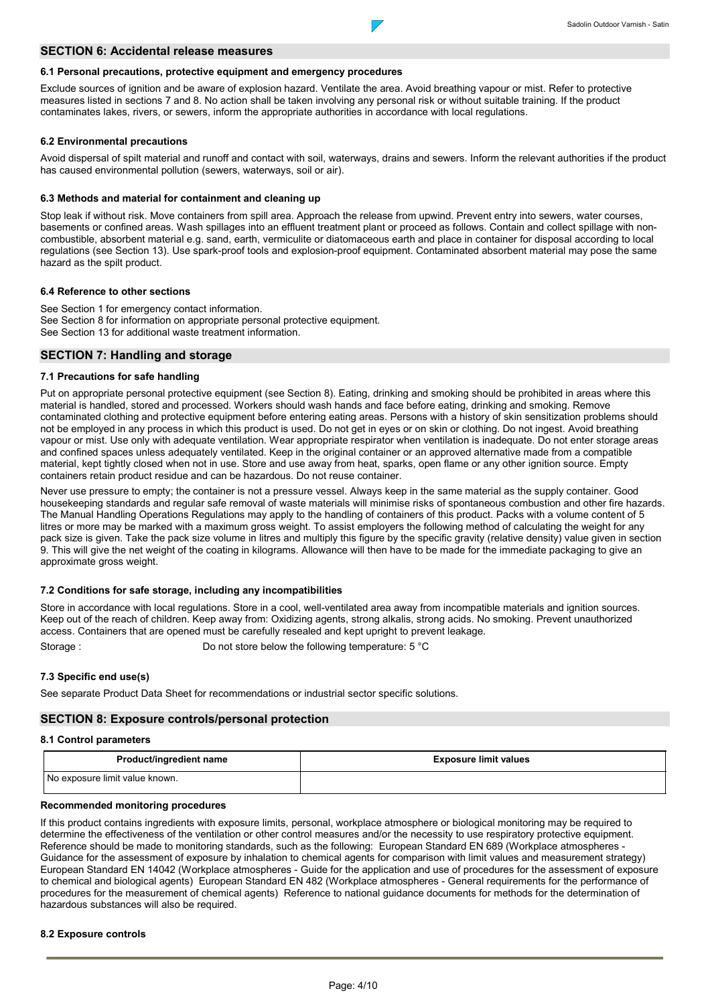#### **SECTION 6: Accidental release measures**

#### **6.1 Personal precautions, protective equipment and emergency procedures**

Exclude sources of ignition and be aware of explosion hazard. Ventilate the area. Avoid breathing vapour or mist. Refer to protective measures listed in sections 7 and 8. No action shall be taken involving any personal risk or without suitable training. If the product contaminates lakes, rivers, or sewers, inform the appropriate authorities in accordance with local regulations.

#### **6.2 Environmental precautions**

Avoid dispersal of spilt material and runoff and contact with soil, waterways, drains and sewers. Inform the relevant authorities if the product has caused environmental pollution (sewers, waterways, soil or air).

 $\overline{\phantom{a}}$ 

#### **6.3 Methods and material for containment and cleaning up**

Stop leak if without risk. Move containers from spill area. Approach the release from upwind. Prevent entry into sewers, water courses, basements or confined areas. Wash spillages into an effluent treatment plant or proceed as follows. Contain and collect spillage with noncombustible, absorbent material e.g. sand, earth, vermiculite or diatomaceous earth and place in container for disposal according to local regulations (see Section 13). Use spark-proof tools and explosion-proof equipment. Contaminated absorbent material may pose the same hazard as the spilt product.

#### **6.4 Reference to other sections**

See Section 1 for emergency contact information. See Section 8 for information on appropriate personal protective equipment. See Section 13 for additional waste treatment information.

#### **SECTION 7: Handling and storage**

#### **7.1 Precautions for safe handling**

Put on appropriate personal protective equipment (see Section 8). Eating, drinking and smoking should be prohibited in areas where this material is handled, stored and processed. Workers should wash hands and face before eating, drinking and smoking. Remove contaminated clothing and protective equipment before entering eating areas. Persons with a history of skin sensitization problems should not be employed in any process in which this product is used. Do not get in eyes or on skin or clothing. Do not ingest. Avoid breathing vapour or mist. Use only with adequate ventilation. Wear appropriate respirator when ventilation is inadequate. Do not enter storage areas and confined spaces unless adequately ventilated. Keep in the original container or an approved alternative made from a compatible material, kept tightly closed when not in use. Store and use away from heat, sparks, open flame or any other ignition source. Empty containers retain product residue and can be hazardous. Do not reuse container.

Never use pressure to empty; the container is not a pressure vessel. Always keep in the same material as the supply container. Good housekeeping standards and regular safe removal of waste materials will minimise risks of spontaneous combustion and other fire hazards. The Manual Handling Operations Regulations may apply to the handling of containers of this product. Packs with a volume content of 5 litres or more may be marked with a maximum gross weight. To assist employers the following method of calculating the weight for any pack size is given. Take the pack size volume in litres and multiply this figure by the specific gravity (relative density) value given in section 9. This will give the net weight of the coating in kilograms. Allowance will then have to be made for the immediate packaging to give an approximate gross weight.

#### **7.2 Conditions for safe storage, including any incompatibilities**

Store in accordance with local regulations. Store in a cool, well-ventilated area away from incompatible materials and ignition sources. Keep out of the reach of children. Keep away from: Oxidizing agents, strong alkalis, strong acids. No smoking. Prevent unauthorized access. Containers that are opened must be carefully resealed and kept upright to prevent leakage. Storage:

Do not store below the following temperature: 5 °C

#### **7.3 Specific end use(s)**

See separate Product Data Sheet for recommendations or industrial sector specific solutions.

# **SECTION 8: Exposure controls/personal protection**

#### **8.1 Control parameters**

| <b>Product/ingredient name</b> | <b>Exposure limit values</b> |
|--------------------------------|------------------------------|
| No exposure limit value known. |                              |

#### **Recommended monitoring procedures**

If this product contains ingredients with exposure limits, personal, workplace atmosphere or biological monitoring may be required to determine the effectiveness of the ventilation or other control measures and/or the necessity to use respiratory protective equipment. Reference should be made to monitoring standards, such as the following: European Standard EN 689 (Workplace atmospheres - Guidance for the assessment of exposure by inhalation to chemical agents for comparison with limit values and measurement strategy) European Standard EN 14042 (Workplace atmospheres - Guide for the application and use of procedures for the assessment of exposure to chemical and biological agents) European Standard EN 482 (Workplace atmospheres - General requirements for the performance of procedures for the measurement of chemical agents) Reference to national guidance documents for methods for the determination of hazardous substances will also be required.

#### **8.2 Exposure controls**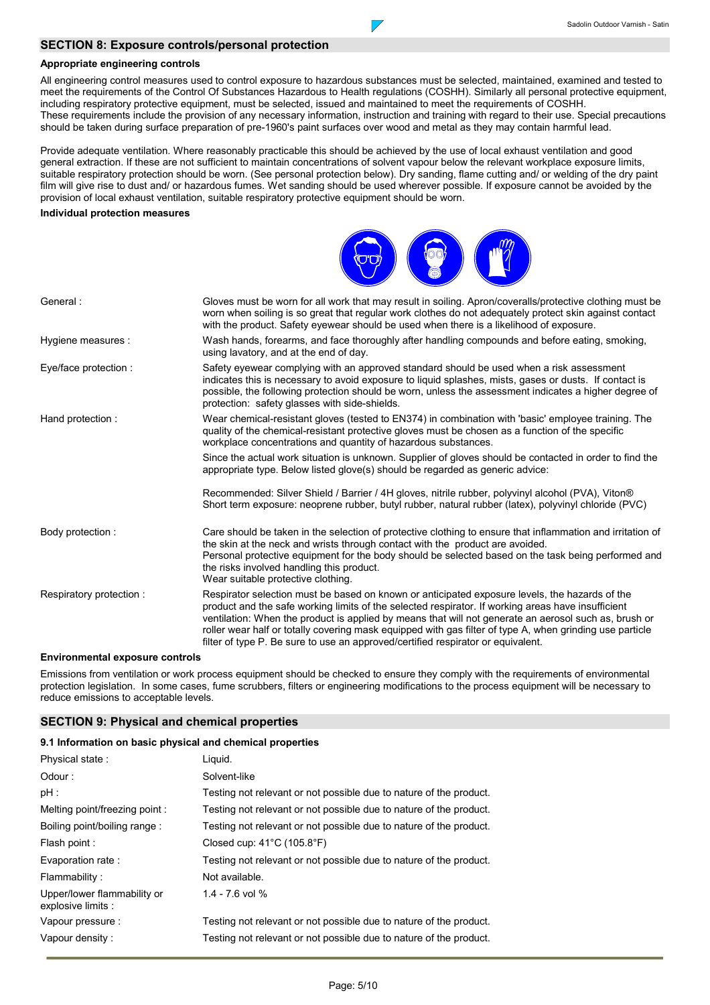# **SECTION 8: Exposure controls/personal protection**

#### **Appropriate engineering controls**

All engineering control measures used to control exposure to hazardous substances must be selected, maintained, examined and tested to meet the requirements of the Control Of Substances Hazardous to Health regulations (COSHH). Similarly all personal protective equipment, including respiratory protective equipment, must be selected, issued and maintained to meet the requirements of COSHH. These requirements include the provision of any necessary information, instruction and training with regard to their use. Special precautions should be taken during surface preparation of pre-1960's paint surfaces over wood and metal as they may contain harmful lead.

 $\overline{\phantom{a}}$ 

Provide adequate ventilation. Where reasonably practicable this should be achieved by the use of local exhaust ventilation and good general extraction. If these are not sufficient to maintain concentrations of solvent vapour below the relevant workplace exposure limits, suitable respiratory protection should be worn. (See personal protection below). Dry sanding, flame cutting and/ or welding of the dry paint film will give rise to dust and/ or hazardous fumes. Wet sanding should be used wherever possible. If exposure cannot be avoided by the provision of local exhaust ventilation, suitable respiratory protective equipment should be worn.

#### **Individual protection measures**



| General:                | Gloves must be worn for all work that may result in soiling. Apron/coveralls/protective clothing must be<br>worn when soiling is so great that regular work clothes do not adequately protect skin against contact<br>with the product. Safety eyewear should be used when there is a likelihood of exposure.                                                                                                                                                                                                 |
|-------------------------|---------------------------------------------------------------------------------------------------------------------------------------------------------------------------------------------------------------------------------------------------------------------------------------------------------------------------------------------------------------------------------------------------------------------------------------------------------------------------------------------------------------|
| Hygiene measures :      | Wash hands, forearms, and face thoroughly after handling compounds and before eating, smoking,<br>using lavatory, and at the end of day.                                                                                                                                                                                                                                                                                                                                                                      |
| Eye/face protection :   | Safety eyewear complying with an approved standard should be used when a risk assessment<br>indicates this is necessary to avoid exposure to liquid splashes, mists, gases or dusts. If contact is<br>possible, the following protection should be worn, unless the assessment indicates a higher degree of<br>protection: safety glasses with side-shields.                                                                                                                                                  |
| Hand protection:        | Wear chemical-resistant gloves (tested to EN374) in combination with 'basic' employee training. The<br>quality of the chemical-resistant protective gloves must be chosen as a function of the specific<br>workplace concentrations and quantity of hazardous substances.                                                                                                                                                                                                                                     |
|                         | Since the actual work situation is unknown. Supplier of gloves should be contacted in order to find the<br>appropriate type. Below listed glove(s) should be regarded as generic advice:                                                                                                                                                                                                                                                                                                                      |
|                         | Recommended: Silver Shield / Barrier / 4H gloves, nitrile rubber, polyvinyl alcohol (PVA), Viton®<br>Short term exposure: neoprene rubber, butyl rubber, natural rubber (latex), polyvinyl chloride (PVC)                                                                                                                                                                                                                                                                                                     |
| Body protection:        | Care should be taken in the selection of protective clothing to ensure that inflammation and irritation of<br>the skin at the neck and wrists through contact with the product are avoided.<br>Personal protective equipment for the body should be selected based on the task being performed and<br>the risks involved handling this product.<br>Wear suitable protective clothing.                                                                                                                         |
| Respiratory protection: | Respirator selection must be based on known or anticipated exposure levels, the hazards of the<br>product and the safe working limits of the selected respirator. If working areas have insufficient<br>ventilation: When the product is applied by means that will not generate an aerosol such as, brush or<br>roller wear half or totally covering mask equipped with gas filter of type A, when grinding use particle<br>filter of type P. Be sure to use an approved/certified respirator or equivalent. |

#### **Environmental exposure controls**

Emissions from ventilation or work process equipment should be checked to ensure they comply with the requirements of environmental protection legislation. In some cases, fume scrubbers, filters or engineering modifications to the process equipment will be necessary to reduce emissions to acceptable levels.

#### **SECTION 9: Physical and chemical properties**

#### **9.1 Information on basic physical and chemical properties**

| Physical state:                                   | Liguid.                                                            |
|---------------------------------------------------|--------------------------------------------------------------------|
| Odour:                                            | Solvent-like                                                       |
| $pH$ :                                            | Testing not relevant or not possible due to nature of the product. |
| Melting point/freezing point:                     | Testing not relevant or not possible due to nature of the product. |
| Boiling point/boiling range:                      | Testing not relevant or not possible due to nature of the product. |
| Flash point:                                      | Closed cup: $41^{\circ}$ C (105.8 $^{\circ}$ F)                    |
| Evaporation rate:                                 | Testing not relevant or not possible due to nature of the product. |
| Flammability:                                     | Not available.                                                     |
| Upper/lower flammability or<br>explosive limits : | $1.4 - 7.6$ vol %                                                  |
| Vapour pressure :                                 | Testing not relevant or not possible due to nature of the product. |
| Vapour density:                                   | Testing not relevant or not possible due to nature of the product. |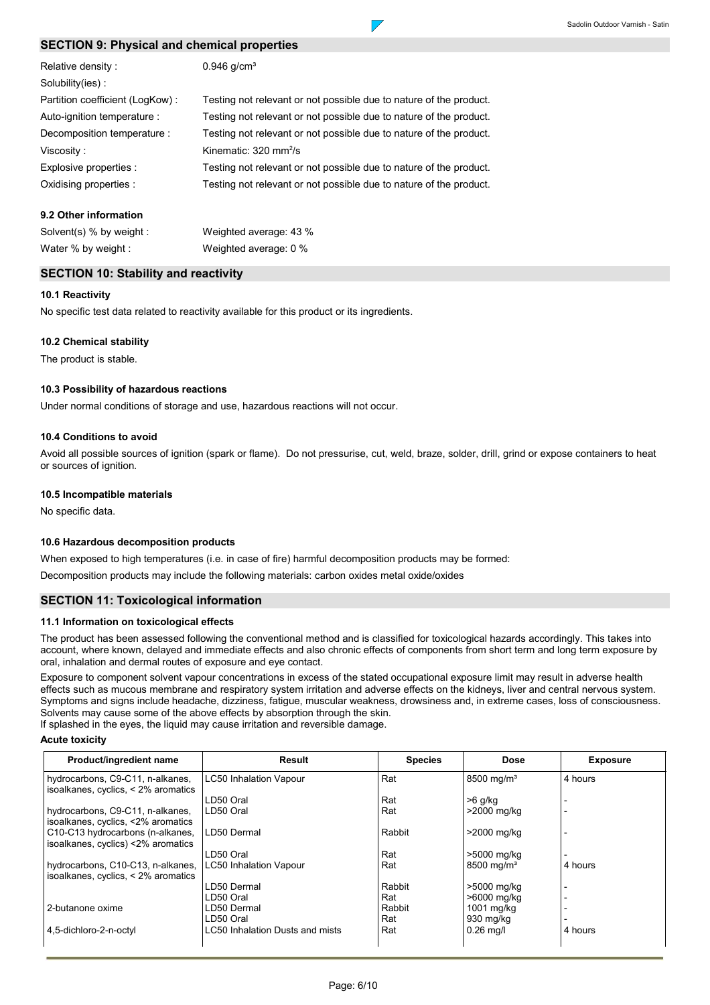# **SECTION 9: Physical and chemical properties**

| Relative density:               | $0.946$ g/cm <sup>3</sup>                                          |
|---------------------------------|--------------------------------------------------------------------|
| Solubility(ies):                |                                                                    |
| Partition coefficient (LogKow): | Testing not relevant or not possible due to nature of the product. |
| Auto-ignition temperature :     | Testing not relevant or not possible due to nature of the product. |
| Decomposition temperature :     | Testing not relevant or not possible due to nature of the product. |
| Viscosity:                      | Kinematic: $320 \text{ mm}^2/\text{s}$                             |
| Explosive properties :          | Testing not relevant or not possible due to nature of the product. |
| Oxidising properties :          | Testing not relevant or not possible due to nature of the product. |
|                                 |                                                                    |

# **9.2 Other information**

| Solvent(s) % by weight : | Weighted average: 43 % |
|--------------------------|------------------------|
| Water % by weight :      | Weighted average: 0 %  |

# **SECTION 10: Stability and reactivity**

# **10.1 Reactivity**

No specific test data related to reactivity available for this product or its ingredients.

# **10.2 Chemical stability**

The product is stable.

#### **10.3 Possibility of hazardous reactions**

Under normal conditions of storage and use, hazardous reactions will not occur.

#### **10.4 Conditions to avoid**

Avoid all possible sources of ignition (spark or flame). Do not pressurise, cut, weld, braze, solder, drill, grind or expose containers to heat or sources of ignition.

 $\overline{\phantom{a}}$ 

#### **10.5 Incompatible materials**

No specific data.

#### **10.6 Hazardous decomposition products**

When exposed to high temperatures (i.e. in case of fire) harmful decomposition products may be formed:

Decomposition products may include the following materials: carbon oxides metal oxide/oxides

# **SECTION 11: Toxicological information**

#### **11.1 Information on toxicological effects**

The product has been assessed following the conventional method and is classified for toxicological hazards accordingly. This takes into account, where known, delayed and immediate effects and also chronic effects of components from short term and long term exposure by oral, inhalation and dermal routes of exposure and eye contact.

Exposure to component solvent vapour concentrations in excess of the stated occupational exposure limit may result in adverse health effects such as mucous membrane and respiratory system irritation and adverse effects on the kidneys, liver and central nervous system. Symptoms and signs include headache, dizziness, fatigue, muscular weakness, drowsiness and, in extreme cases, loss of consciousness. Solvents may cause some of the above effects by absorption through the skin.

If splashed in the eyes, the liquid may cause irritation and reversible damage.

#### **Acute toxicity**

| Product/ingredient name             | <b>Result</b>                   | <b>Species</b> | <b>Dose</b>              | <b>Exposure</b> |
|-------------------------------------|---------------------------------|----------------|--------------------------|-----------------|
| hydrocarbons, C9-C11, n-alkanes,    | <b>LC50 Inhalation Vapour</b>   | Rat            | $8500 \,\mathrm{mq/m^3}$ | 4 hours         |
| isoalkanes, cyclics, < 2% aromatics |                                 |                |                          |                 |
|                                     | LD50 Oral                       | Rat            | >6 g/kg                  |                 |
| hydrocarbons, C9-C11, n-alkanes,    | LD50 Oral                       | Rat            | >2000 mg/kg              |                 |
| isoalkanes, cyclics, <2% aromatics  |                                 |                |                          |                 |
| C10-C13 hydrocarbons (n-alkanes,    | LD50 Dermal                     | Rabbit         | >2000 mg/kg              |                 |
| isoalkanes, cyclics) <2% aromatics  |                                 |                |                          |                 |
|                                     | LD50 Oral                       | Rat            | >5000 mg/kg              |                 |
| hydrocarbons, C10-C13, n-alkanes,   | <b>LC50 Inhalation Vapour</b>   | Rat            | 8500 mg/m <sup>3</sup>   | 4 hours         |
| isoalkanes, cyclics, < 2% aromatics |                                 |                |                          |                 |
|                                     | LD50 Dermal                     | Rabbit         | >5000 mg/kg              |                 |
|                                     | LD50 Oral                       | Rat            | >6000 mg/kg              |                 |
| 2-butanone oxime                    | LD50 Dermal                     | Rabbit         | 1001 mg/kg               |                 |
|                                     | LD50 Oral                       | Rat            | 930 mg/kg                |                 |
| 4.5-dichloro-2-n-octvl              | LC50 Inhalation Dusts and mists | Rat            | $0.26$ ma/l              | 4 hours         |
|                                     |                                 |                |                          |                 |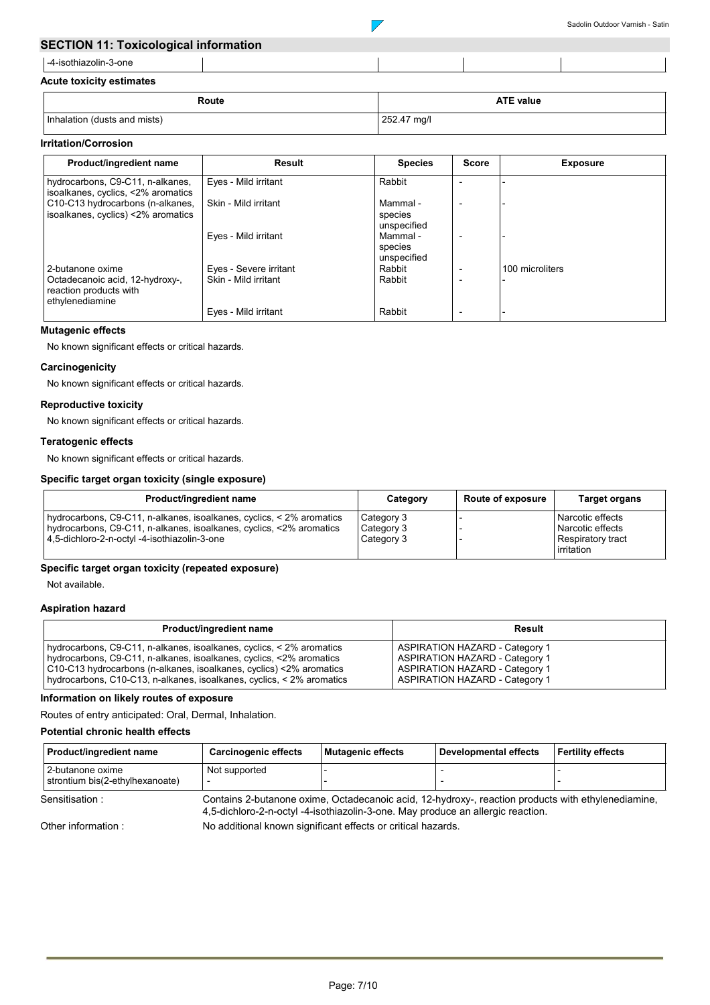# **SECTION 11: Toxicological information**

-4-isothiazolin-3-one

#### **Acute toxicity estimates**

| Route                        | <b>ATE value</b> |
|------------------------------|------------------|
| Inhalation (dusts and mists) | 252.47 mg/l      |

# **Irritation/Corrosion**

| Product/ingredient name                                                      | Result                 | <b>Species</b>                     | Score | <b>Exposure</b> |
|------------------------------------------------------------------------------|------------------------|------------------------------------|-------|-----------------|
| hydrocarbons, C9-C11, n-alkanes,<br>isoalkanes, cyclics, <2% aromatics       | Eyes - Mild irritant   | Rabbit                             |       |                 |
| C10-C13 hydrocarbons (n-alkanes,<br>isoalkanes, cyclics) <2% aromatics       | Skin - Mild irritant   | Mammal -<br>species<br>unspecified |       |                 |
|                                                                              | Eyes - Mild irritant   | Mammal -<br>species<br>unspecified |       |                 |
| 2-butanone oxime                                                             | Eyes - Severe irritant | Rabbit                             |       | 100 microliters |
| Octadecanoic acid, 12-hydroxy-,<br>reaction products with<br>ethylenediamine | Skin - Mild irritant   | Rabbit                             |       |                 |
|                                                                              | Eves - Mild irritant   | Rabbit                             |       |                 |

#### **Mutagenic effects**

No known significant effects or critical hazards.

#### **Carcinogenicity**

No known significant effects or critical hazards.

#### **Reproductive toxicity**

No known significant effects or critical hazards.

#### **Teratogenic effects**

No known significant effects or critical hazards.

#### **Specific target organ toxicity (single exposure)**

| Product/ingredient name                                                                                                                                                                     | Category                               | <b>Route of exposure</b> | <b>Target organs</b>                                                           |
|---------------------------------------------------------------------------------------------------------------------------------------------------------------------------------------------|----------------------------------------|--------------------------|--------------------------------------------------------------------------------|
| hydrocarbons, C9-C11, n-alkanes, isoalkanes, cyclics, < 2% aromatics<br>hydrocarbons, C9-C11, n-alkanes, isoalkanes, cyclics, <2% aromatics<br>4,5-dichloro-2-n-octyl -4-isothiazolin-3-one | Category 3<br>Category 3<br>Category 3 |                          | Narcotic effects<br>Narcotic effects<br><b>Respiratory tract</b><br>irritation |

# **Specific target organ toxicity (repeated exposure)**

Not available.

### **Aspiration hazard**

| Product/ingredient name                                               | Result                                |
|-----------------------------------------------------------------------|---------------------------------------|
| hydrocarbons, C9-C11, n-alkanes, isoalkanes, cyclics, < 2% aromatics  | <b>ASPIRATION HAZARD - Category 1</b> |
| hydrocarbons, C9-C11, n-alkanes, isoalkanes, cyclics, <2% aromatics   | <b>ASPIRATION HAZARD - Category 1</b> |
| C10-C13 hydrocarbons (n-alkanes, isoalkanes, cyclics) <2% aromatics   | <b>ASPIRATION HAZARD - Category 1</b> |
| hydrocarbons, C10-C13, n-alkanes, isoalkanes, cyclics, < 2% aromatics | <b>ASPIRATION HAZARD - Category 1</b> |

# **Information on likely routes of exposure**

Routes of entry anticipated: Oral, Dermal, Inhalation.

# **Potential chronic health effects**

| Product/ingredient name                                                                                           | Carcinogenic effects | l Mutagenic effects | Developmental effects | l Fertility effects |
|-------------------------------------------------------------------------------------------------------------------|----------------------|---------------------|-----------------------|---------------------|
| l 2-butanone oxime<br>strontium bis(2-ethylhexanoate)                                                             | Not supported        |                     |                       |                     |
| containe 2 butanone ovime. Octadecanoic acid 12 budrovu reaction products with ethylenediamine<br>Sancitication . |                      |                     |                       |                     |

Sensitisation : Contains 2-butanone oxime, Octadecanoic acid, 12-hydroxy-, reaction products with ethylenediamine, 4,5-dichloro-2-n-octyl -4-isothiazolin-3-one. May produce an allergic reaction.

Other information :

No additional known significant effects or critical hazards.

 $\overline{\mathscr{S}}$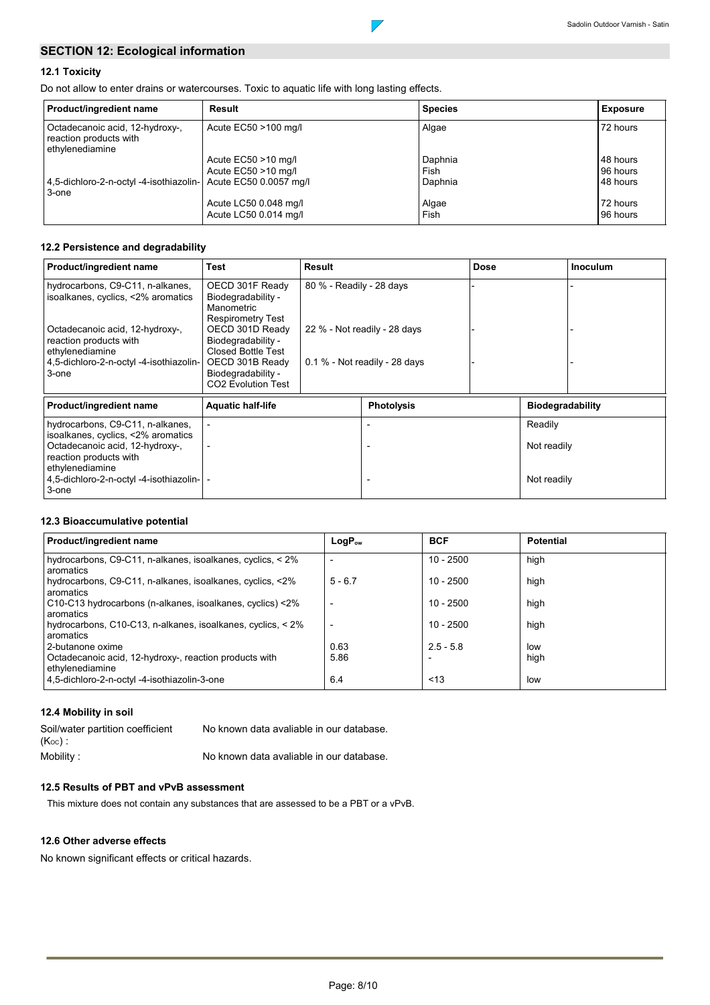# **SECTION 12: Ecological information**

# **12.1 Toxicity**

Do not allow to enter drains or watercourses. Toxic to aquatic life with long lasting effects.

| Product/ingredient name                                                      | Result                | <b>Species</b> | <b>Exposure</b> |
|------------------------------------------------------------------------------|-----------------------|----------------|-----------------|
| Octadecanoic acid, 12-hydroxy-,<br>reaction products with<br>ethylenediamine | Acute EC50 >100 mg/l  | Algae          | 72 hours        |
|                                                                              | Acute EC50 >10 mg/l   | Daphnia        | 48 hours        |
|                                                                              | Acute EC50 >10 mg/l   | Fish           | 96 hours        |
| 4,5-dichloro-2-n-octyl -4-isothiazolin- Acute EC50 0.0057 mg/l<br>3-one      |                       | Daphnia        | 48 hours        |
|                                                                              | Acute LC50 0.048 mg/l | Algae          | 172 hours       |
|                                                                              | Acute LC50 0.014 mg/l | Fish           | 96 hours        |

 $\nabla$ 

# **12.2 Persistence and degradability**

| Product/ingredient name                                                                                                             | Test                                                                                                                     | <b>Result</b>            |                                 | <b>Dose</b> |                         | <b>Inoculum</b> |
|-------------------------------------------------------------------------------------------------------------------------------------|--------------------------------------------------------------------------------------------------------------------------|--------------------------|---------------------------------|-------------|-------------------------|-----------------|
| hydrocarbons, C9-C11, n-alkanes,<br>isoalkanes, cyclics, <2% aromatics<br>Octadecanoic acid, 12-hydroxy-,<br>reaction products with | OECD 301F Ready<br>Biodegradability -<br>Manometric<br><b>Respirometry Test</b><br>OECD 301D Ready<br>Biodegradability - | 80 % - Readily - 28 days | 22 % - Not readily - 28 days    |             |                         |                 |
| ethylenediamine<br>4,5-dichloro-2-n-octyl -4-isothiazolin-<br>3-one                                                                 | <b>Closed Bottle Test</b><br>OECD 301B Ready<br>Biodegradability -<br>CO2 Evolution Test                                 |                          | $0.1\%$ - Not readily - 28 days |             |                         |                 |
| Product/ingredient name                                                                                                             | <b>Aquatic half-life</b>                                                                                                 |                          | <b>Photolysis</b>               |             | <b>Biodegradability</b> |                 |
| hydrocarbons, C9-C11, n-alkanes,<br>isoalkanes, cyclics, <2% aromatics<br>Octadecanoic acid, 12-hydroxy-,<br>reaction products with |                                                                                                                          |                          |                                 |             | Readily<br>Not readily  |                 |
| ethylenediamine<br>4,5-dichloro-2-n-octyl -4-isothiazolin-<br>3-one                                                                 |                                                                                                                          |                          |                                 |             | Not readily             |                 |

# **12.3 Bioaccumulative potential**

| <b>Product/ingredient name</b>                                            | $LogP_{ow}$              | <b>BCF</b>  | <b>Potential</b> |
|---------------------------------------------------------------------------|--------------------------|-------------|------------------|
| hydrocarbons, C9-C11, n-alkanes, isoalkanes, cyclics, < 2%<br>aromatics   | $\overline{\phantom{0}}$ | $10 - 2500$ | high             |
| hydrocarbons, C9-C11, n-alkanes, isoalkanes, cyclics, <2%<br>aromatics    | $5 - 6.7$                | $10 - 2500$ | high             |
| C10-C13 hydrocarbons (n-alkanes, isoalkanes, cyclics) <2%<br>aromatics    | $\overline{\phantom{a}}$ | $10 - 2500$ | high             |
| hydrocarbons, C10-C13, n-alkanes, isoalkanes, cyclics, < 2%<br>aromatics  | $\overline{\phantom{a}}$ | $10 - 2500$ | high             |
| l 2-butanone oxime                                                        | 0.63                     | $2.5 - 5.8$ | low              |
| Octadecanoic acid, 12-hydroxy-, reaction products with<br>ethylenediamine | 5.86                     |             | high             |
| 4,5-dichloro-2-n-octyl -4-isothiazolin-3-one                              | 6.4                      | < 13        | low              |

# **12.4 Mobility in soil**

Mobility : Soil/water partition coefficient  $(K_{OC})$ : No known data avaliable in our database. No known data avaliable in our database.

**12.5 Results of PBT and vPvB assessment**

This mixture does not contain any substances that are assessed to be a PBT or a vPvB.

### **12.6 Other adverse effects**

No known significant effects or critical hazards.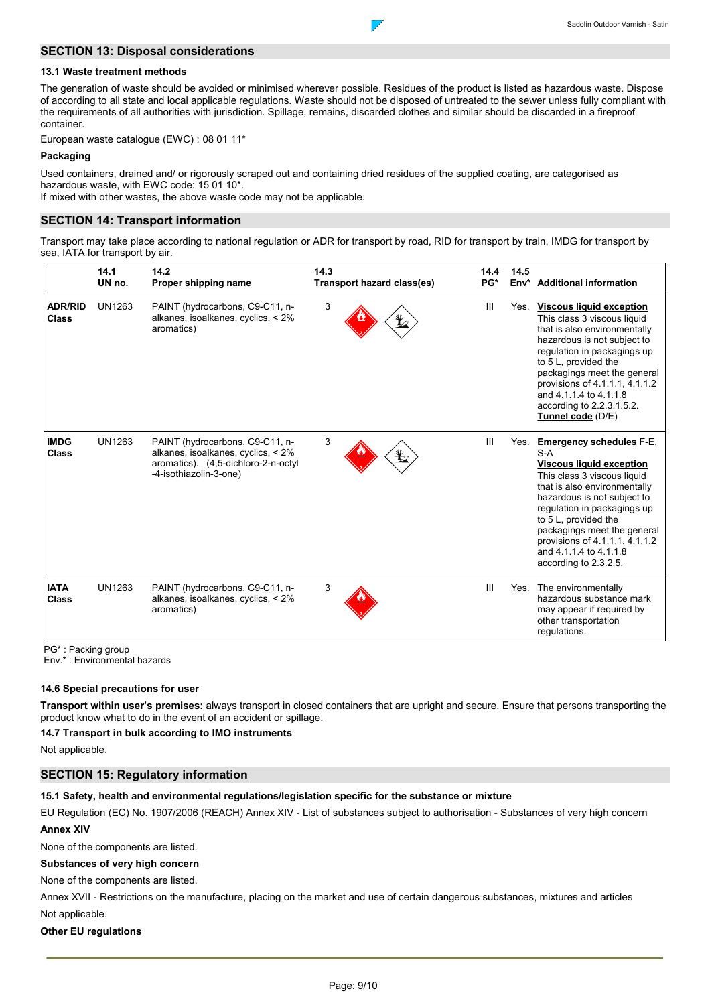# **SECTION 13: Disposal considerations**

The generation of waste should be avoided or minimised wherever possible. Residues of the product is listed as hazardous waste. Dispose of according to all state and local applicable regulations. Waste should not be disposed of untreated to the sewer unless fully compliant with the requirements of all authorities with jurisdiction. Spillage, remains, discarded clothes and similar should be discarded in a fireproof container.

 $\overline{\phantom{a}}$ 

European waste catalogue (EWC) : 08 01 11\*

#### **Packaging**

Used containers, drained and/ or rigorously scraped out and containing dried residues of the supplied coating, are categorised as hazardous waste, with EWC code: 15 01 10\*.

If mixed with other wastes, the above waste code may not be applicable.

# **SECTION 14: Transport information**

Transport may take place according to national regulation or ADR for transport by road, RID for transport by train, IMDG for transport by sea, IATA for transport by air.

|                                | 14.1<br>UN no. | 14.2<br>Proper shipping name                                                                                                           | 14.3<br>Transport hazard class(es) | 14.4<br>PG*    | 14.5 | Env <sup>*</sup> Additional information                                                                                                                                                                                                                                                                                                          |
|--------------------------------|----------------|----------------------------------------------------------------------------------------------------------------------------------------|------------------------------------|----------------|------|--------------------------------------------------------------------------------------------------------------------------------------------------------------------------------------------------------------------------------------------------------------------------------------------------------------------------------------------------|
| <b>ADR/RID</b><br><b>Class</b> | <b>UN1263</b>  | PAINT (hydrocarbons, C9-C11, n-<br>alkanes, isoalkanes, cyclics, < 2%<br>aromatics)                                                    | 3                                  | $\mathbf{III}$ | Yes. | <b>Viscous liquid exception</b><br>This class 3 viscous liquid<br>that is also environmentally<br>hazardous is not subject to<br>regulation in packagings up<br>to 5 L, provided the<br>packagings meet the general<br>provisions of 4.1.1.1, 4.1.1.2<br>and 4.1.1.4 to 4.1.1.8<br>according to 2.2.3.1.5.2.<br>Tunnel code (D/E)                |
| <b>IMDG</b><br><b>Class</b>    | <b>UN1263</b>  | PAINT (hydrocarbons, C9-C11, n-<br>alkanes, isoalkanes, cyclics, < 2%<br>aromatics). (4,5-dichloro-2-n-octyl<br>-4-isothiazolin-3-one) | 3                                  | $\mathbf{III}$ |      | Yes. Emergency schedules F-E,<br>S-A<br><b>Viscous liquid exception</b><br>This class 3 viscous liquid<br>that is also environmentally<br>hazardous is not subject to<br>regulation in packagings up<br>to 5 L, provided the<br>packagings meet the general<br>provisions of 4.1.1.1, 4.1.1.2<br>and 4.1.1.4 to 4.1.1.8<br>according to 2.3.2.5. |
| <b>IATA</b><br><b>Class</b>    | <b>UN1263</b>  | PAINT (hydrocarbons, C9-C11, n-<br>alkanes, isoalkanes, cyclics, < 2%<br>aromatics)                                                    | 3                                  | $\mathbf{III}$ |      | Yes. The environmentally<br>hazardous substance mark<br>may appear if required by<br>other transportation<br>requlations.                                                                                                                                                                                                                        |

PG\* : Packing group

Env.\* : Environmental hazards

#### **14.6 Special precautions for user**

**Transport within user's premises:** always transport in closed containers that are upright and secure. Ensure that persons transporting the product know what to do in the event of an accident or spillage.

#### **14.7 Transport in bulk according to IMO instruments**

Not applicable.

# **SECTION 15: Regulatory information**

#### **15.1 Safety, health and environmental regulations/legislation specific for the substance or mixture**

EU Regulation (EC) No. 1907/2006 (REACH) Annex XIV - List of substances subject to authorisation - Substances of very high concern **Annex XIV**

None of the components are listed.

**Substances of very high concern**

None of the components are listed.

Not applicable. Annex XVII - Restrictions on the manufacture, placing on the market and use of certain dangerous substances, mixtures and articles

#### **Other EU regulations**